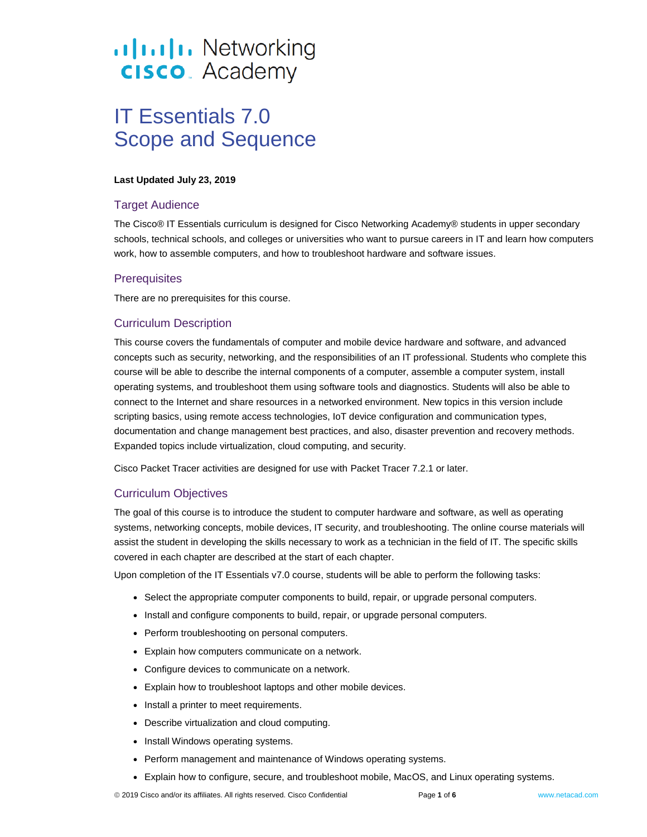# .**Ilt.Ilt.** Networking **CISCO**. Academy

# IT Essentials 7.0 Scope and Sequence

#### **Last Updated July 23, 2019**

## Target Audience

The Cisco® IT Essentials curriculum is designed for Cisco Networking Academy® students in upper secondary schools, technical schools, and colleges or universities who want to pursue careers in IT and learn how computers work, how to assemble computers, and how to troubleshoot hardware and software issues.

#### **Prerequisites**

There are no prerequisites for this course.

# Curriculum Description

This course covers the fundamentals of computer and mobile device hardware and software, and advanced concepts such as security, networking, and the responsibilities of an IT professional. Students who complete this course will be able to describe the internal components of a computer, assemble a computer system, install operating systems, and troubleshoot them using software tools and diagnostics. Students will also be able to connect to the Internet and share resources in a networked environment. New topics in this version include scripting basics, using remote access technologies, IoT device configuration and communication types, documentation and change management best practices, and also, disaster prevention and recovery methods. Expanded topics include virtualization, cloud computing, and security.

Cisco Packet Tracer activities are designed for use with Packet Tracer 7.2.1 or later.

# Curriculum Objectives

The goal of this course is to introduce the student to computer hardware and software, as well as operating systems, networking concepts, mobile devices, IT security, and troubleshooting. The online course materials will assist the student in developing the skills necessary to work as a technician in the field of IT. The specific skills covered in each chapter are described at the start of each chapter.

Upon completion of the IT Essentials v7.0 course, students will be able to perform the following tasks:

- Select the appropriate computer components to build, repair, or upgrade personal computers.
- Install and configure components to build, repair, or upgrade personal computers.
- Perform troubleshooting on personal computers.
- Explain how computers communicate on a network.
- Configure devices to communicate on a network.
- Explain how to troubleshoot laptops and other mobile devices.
- Install a printer to meet requirements.
- Describe virtualization and cloud computing.
- Install Windows operating systems.
- Perform management and maintenance of Windows operating systems.
- Explain how to configure, secure, and troubleshoot mobile, MacOS, and Linux operating systems.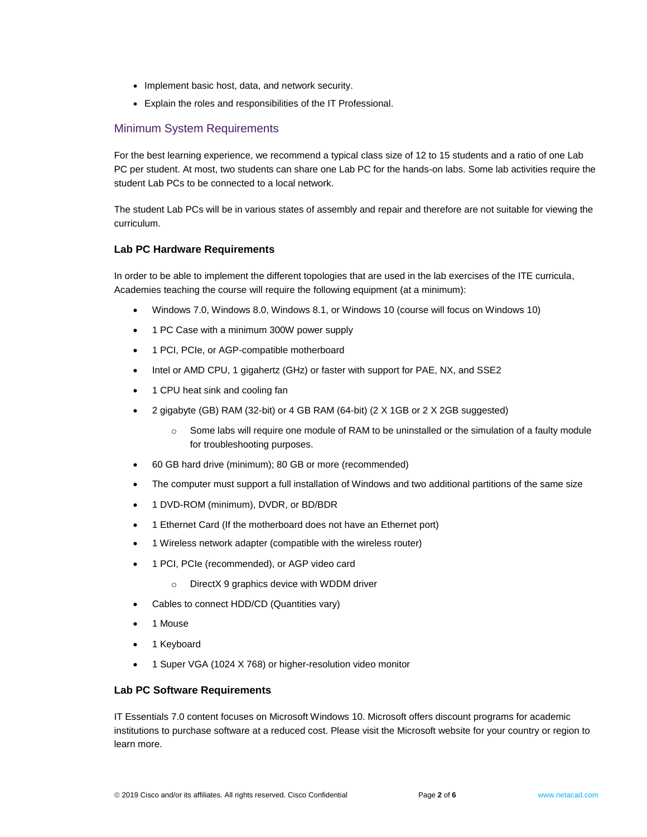- Implement basic host, data, and network security.
- Explain the roles and responsibilities of the IT Professional.

# Minimum System Requirements

For the best learning experience, we recommend a typical class size of 12 to 15 students and a ratio of one Lab PC per student. At most, two students can share one Lab PC for the hands-on labs. Some lab activities require the student Lab PCs to be connected to a local network.

The student Lab PCs will be in various states of assembly and repair and therefore are not suitable for viewing the curriculum.

#### **Lab PC Hardware Requirements**

In order to be able to implement the different topologies that are used in the lab exercises of the ITE curricula, Academies teaching the course will require the following equipment (at a minimum):

- Windows 7.0, Windows 8.0, Windows 8.1, or Windows 10 (course will focus on Windows 10)
- 1 PC Case with a minimum 300W power supply
- 1 PCI, PCIe, or AGP-compatible motherboard
- Intel or AMD CPU, 1 gigahertz (GHz) or faster with support for PAE, NX, and SSE2
- 1 CPU heat sink and cooling fan
- 2 gigabyte (GB) RAM (32-bit) or 4 GB RAM (64-bit) (2 X 1GB or 2 X 2GB suggested)
	- o Some labs will require one module of RAM to be uninstalled or the simulation of a faulty module for troubleshooting purposes.
- 60 GB hard drive (minimum); 80 GB or more (recommended)
- The computer must support a full installation of Windows and two additional partitions of the same size
- 1 DVD-ROM (minimum), DVDR, or BD/BDR
- 1 Ethernet Card (If the motherboard does not have an Ethernet port)
- 1 Wireless network adapter (compatible with the wireless router)
- 1 PCI, PCIe (recommended), or AGP video card
	- o DirectX 9 graphics device with WDDM driver
- Cables to connect HDD/CD (Quantities vary)
- 1 Mouse
- 1 Keyboard
- 1 Super VGA (1024 X 768) or higher-resolution video monitor

#### **Lab PC Software Requirements**

IT Essentials 7.0 content focuses on Microsoft Windows 10. Microsoft offers discount programs for academic institutions to purchase software at a reduced cost. Please visit the Microsoft website for your country or region to learn more.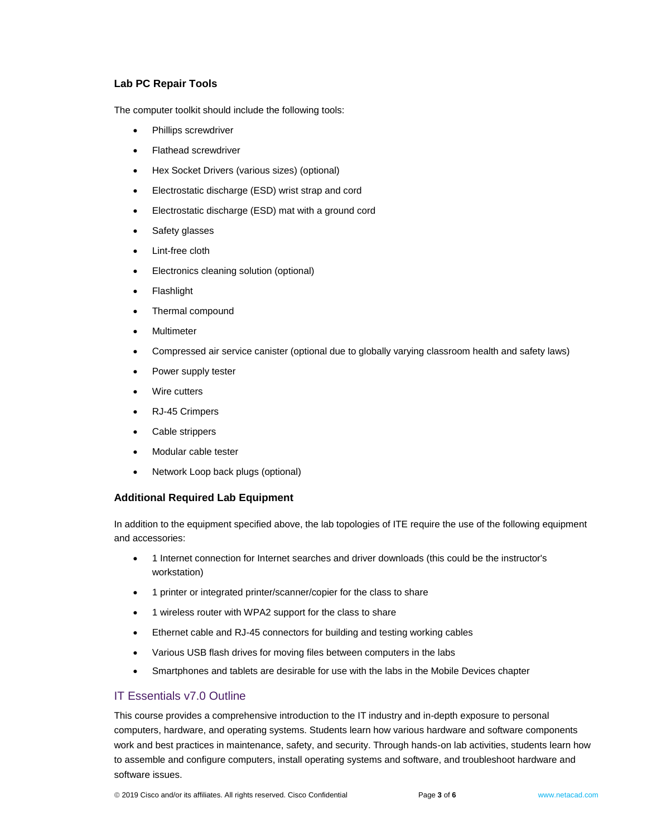#### **Lab PC Repair Tools**

The computer toolkit should include the following tools:

- Phillips screwdriver
- Flathead screwdriver
- Hex Socket Drivers (various sizes) (optional)
- Electrostatic discharge (ESD) wrist strap and cord
- Electrostatic discharge (ESD) mat with a ground cord
- Safety glasses
- Lint-free cloth
- Electronics cleaning solution (optional)
- Flashlight
- Thermal compound
- Multimeter
- Compressed air service canister (optional due to globally varying classroom health and safety laws)
- Power supply tester
- Wire cutters
- RJ-45 Crimpers
- Cable strippers
- Modular cable tester
- Network Loop back plugs (optional)

#### **Additional Required Lab Equipment**

In addition to the equipment specified above, the lab topologies of ITE require the use of the following equipment and accessories:

- 1 Internet connection for Internet searches and driver downloads (this could be the instructor's workstation)
- 1 printer or integrated printer/scanner/copier for the class to share
- 1 wireless router with WPA2 support for the class to share
- Ethernet cable and RJ-45 connectors for building and testing working cables
- Various USB flash drives for moving files between computers in the labs
- Smartphones and tablets are desirable for use with the labs in the Mobile Devices chapter

## IT Essentials v7.0 Outline

This course provides a comprehensive introduction to the IT industry and in-depth exposure to personal computers, hardware, and operating systems. Students learn how various hardware and software components work and best practices in maintenance, safety, and security. Through hands-on lab activities, students learn how to assemble and configure computers, install operating systems and software, and troubleshoot hardware and software issues.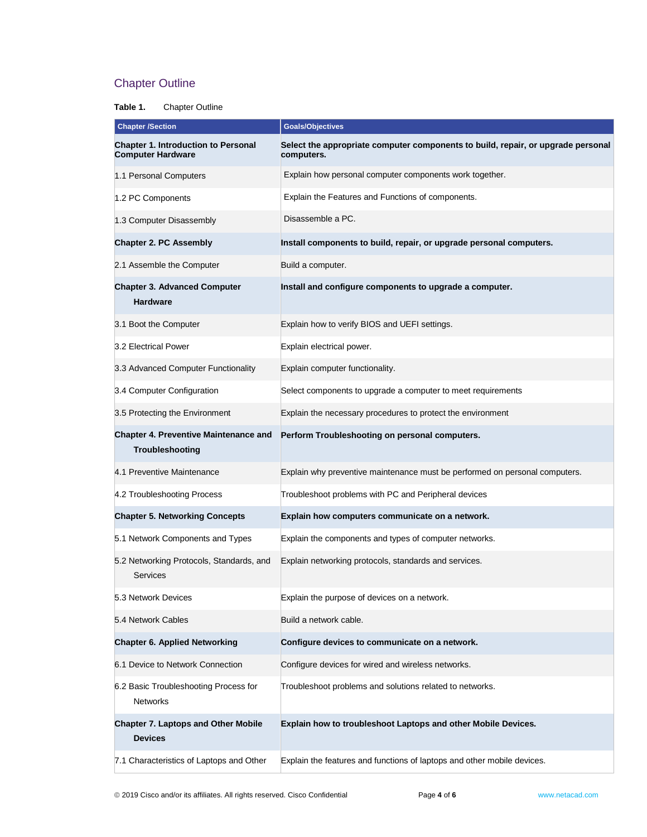# Chapter Outline

## **Table 1.** Chapter Outline

| <b>Chapter Section</b>                                                 | <b>Goals/Objectives</b>                                                                        |
|------------------------------------------------------------------------|------------------------------------------------------------------------------------------------|
| <b>Chapter 1. Introduction to Personal</b><br><b>Computer Hardware</b> | Select the appropriate computer components to build, repair, or upgrade personal<br>computers. |
| 1.1 Personal Computers                                                 | Explain how personal computer components work together.                                        |
| 1.2 PC Components                                                      | Explain the Features and Functions of components.                                              |
| 1.3 Computer Disassembly                                               | Disassemble a PC.                                                                              |
| <b>Chapter 2. PC Assembly</b>                                          | Install components to build, repair, or upgrade personal computers.                            |
| 2.1 Assemble the Computer                                              | Build a computer.                                                                              |
| <b>Chapter 3. Advanced Computer</b><br><b>Hardware</b>                 | Install and configure components to upgrade a computer.                                        |
| 3.1 Boot the Computer                                                  | Explain how to verify BIOS and UEFI settings.                                                  |
| 3.2 Electrical Power                                                   | Explain electrical power.                                                                      |
| 3.3 Advanced Computer Functionality                                    | Explain computer functionality.                                                                |
| 3.4 Computer Configuration                                             | Select components to upgrade a computer to meet requirements                                   |
| 3.5 Protecting the Environment                                         | Explain the necessary procedures to protect the environment                                    |
| <b>Chapter 4. Preventive Maintenance and</b><br>Troubleshooting        | Perform Troubleshooting on personal computers.                                                 |
| 4.1 Preventive Maintenance                                             | Explain why preventive maintenance must be performed on personal computers.                    |
| 4.2 Troubleshooting Process                                            | Troubleshoot problems with PC and Peripheral devices                                           |
| <b>Chapter 5. Networking Concepts</b>                                  | Explain how computers communicate on a network.                                                |
| 5.1 Network Components and Types                                       | Explain the components and types of computer networks.                                         |
| 5.2 Networking Protocols, Standards, and<br>Services                   | Explain networking protocols, standards and services.                                          |
| 5.3 Network Devices                                                    | Explain the purpose of devices on a network.                                                   |
| 5.4 Network Cables                                                     | Build a network cable.                                                                         |
| <b>Chapter 6. Applied Networking</b>                                   | Configure devices to communicate on a network.                                                 |
| 6.1 Device to Network Connection                                       | Configure devices for wired and wireless networks.                                             |
| 6.2 Basic Troubleshooting Process for<br><b>Networks</b>               | Troubleshoot problems and solutions related to networks.                                       |
| <b>Chapter 7. Laptops and Other Mobile</b><br><b>Devices</b>           | Explain how to troubleshoot Laptops and other Mobile Devices.                                  |
| 7.1 Characteristics of Laptops and Other                               | Explain the features and functions of laptops and other mobile devices.                        |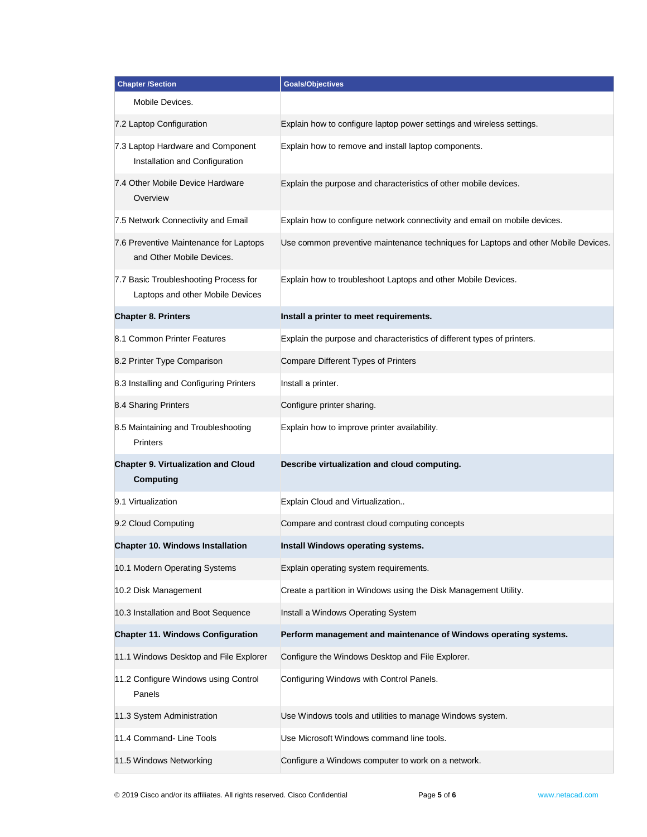| <b>Chapter /Section</b>                                                   | <b>Goals/Objectives</b>                                                            |
|---------------------------------------------------------------------------|------------------------------------------------------------------------------------|
| Mobile Devices.                                                           |                                                                                    |
| 7.2 Laptop Configuration                                                  | Explain how to configure laptop power settings and wireless settings.              |
| 7.3 Laptop Hardware and Component<br>Installation and Configuration       | Explain how to remove and install laptop components.                               |
| 7.4 Other Mobile Device Hardware<br>Overview                              | Explain the purpose and characteristics of other mobile devices.                   |
| 7.5 Network Connectivity and Email                                        | Explain how to configure network connectivity and email on mobile devices.         |
| 7.6 Preventive Maintenance for Laptops<br>and Other Mobile Devices.       | Use common preventive maintenance techniques for Laptops and other Mobile Devices. |
| 7.7 Basic Troubleshooting Process for<br>Laptops and other Mobile Devices | Explain how to troubleshoot Laptops and other Mobile Devices.                      |
| <b>Chapter 8. Printers</b>                                                | Install a printer to meet requirements.                                            |
| 8.1 Common Printer Features                                               | Explain the purpose and characteristics of different types of printers.            |
| 8.2 Printer Type Comparison                                               | Compare Different Types of Printers                                                |
| 8.3 Installing and Configuring Printers                                   | Install a printer.                                                                 |
| 8.4 Sharing Printers                                                      | Configure printer sharing.                                                         |
| 8.5 Maintaining and Troubleshooting<br><b>Printers</b>                    | Explain how to improve printer availability.                                       |
| <b>Chapter 9. Virtualization and Cloud</b><br><b>Computing</b>            | Describe virtualization and cloud computing.                                       |
| 9.1 Virtualization                                                        | Explain Cloud and Virtualization                                                   |
| 9.2 Cloud Computing                                                       | Compare and contrast cloud computing concepts                                      |
| <b>Chapter 10. Windows Installation</b>                                   | Install Windows operating systems.                                                 |
| 10.1 Modern Operating Systems                                             | Explain operating system requirements.                                             |
| 10.2 Disk Management                                                      | Create a partition in Windows using the Disk Management Utility.                   |
| 10.3 Installation and Boot Sequence                                       | Install a Windows Operating System                                                 |
| <b>Chapter 11. Windows Configuration</b>                                  | Perform management and maintenance of Windows operating systems.                   |
| 11.1 Windows Desktop and File Explorer                                    | Configure the Windows Desktop and File Explorer.                                   |
| 11.2 Configure Windows using Control<br>Panels                            | Configuring Windows with Control Panels.                                           |
| 11.3 System Administration                                                | Use Windows tools and utilities to manage Windows system.                          |
| 11.4 Command- Line Tools                                                  | Use Microsoft Windows command line tools.                                          |
| 11.5 Windows Networking                                                   | Configure a Windows computer to work on a network.                                 |